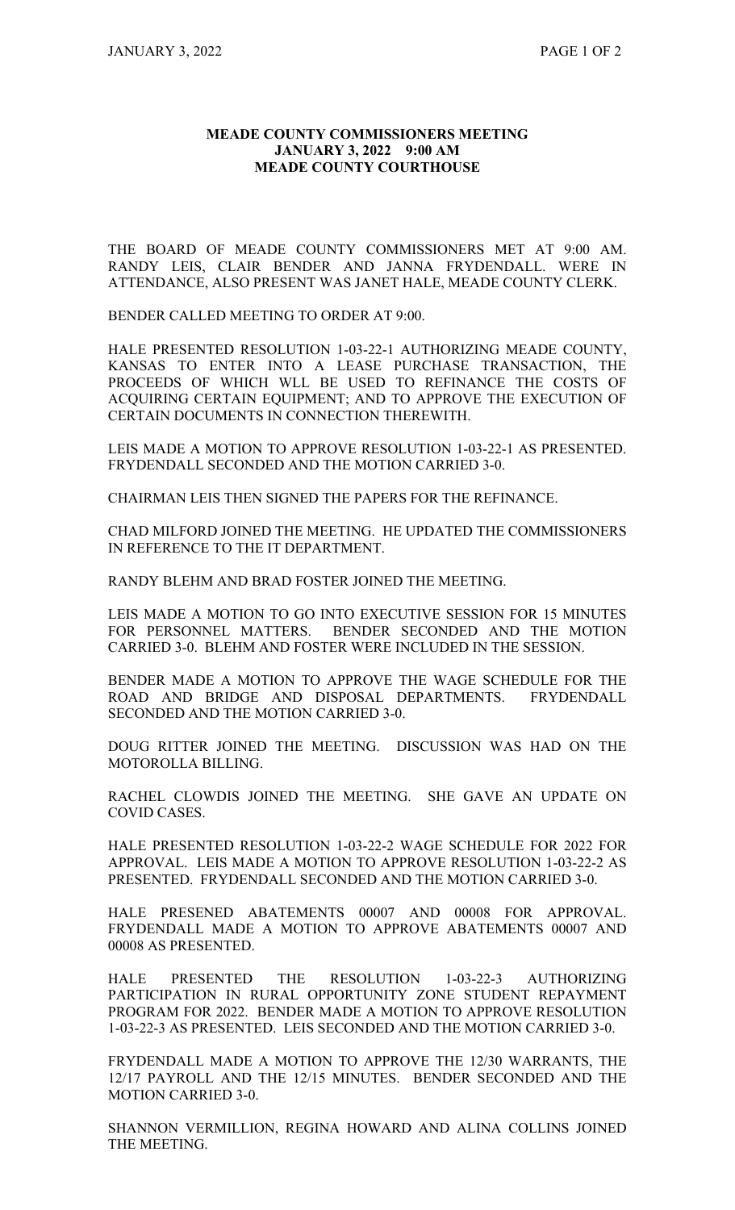## **MEADE COUNTY COMMISSIONERS MEETING JANUARY 3, 2022 9:00 AM MEADE COUNTY COURTHOUSE**

THE BOARD OF MEADE COUNTY COMMISSIONERS MET AT 9:00 AM. RANDY LEIS, CLAIR BENDER AND JANNA FRYDENDALL. WERE IN ATTENDANCE, ALSO PRESENT WAS JANET HALE, MEADE COUNTY CLERK.

BENDER CALLED MEETING TO ORDER AT 9:00.

HALE PRESENTED RESOLUTION 1-03-22-1 AUTHORIZING MEADE COUNTY, KANSAS TO ENTER INTO A LEASE PURCHASE TRANSACTION, THE PROCEEDS OF WHICH WLL BE USED TO REFINANCE THE COSTS OF ACQUIRING CERTAIN EQUIPMENT; AND TO APPROVE THE EXECUTION OF CERTAIN DOCUMENTS IN CONNECTION THEREWITH.

LEIS MADE A MOTION TO APPROVE RESOLUTION 1-03-22-1 AS PRESENTED. FRYDENDALL SECONDED AND THE MOTION CARRIED 3-0.

CHAIRMAN LEIS THEN SIGNED THE PAPERS FOR THE REFINANCE.

CHAD MILFORD JOINED THE MEETING. HE UPDATED THE COMMISSIONERS IN REFERENCE TO THE IT DEPARTMENT.

RANDY BLEHM AND BRAD FOSTER JOINED THE MEETING.

LEIS MADE A MOTION TO GO INTO EXECUTIVE SESSION FOR 15 MINUTES FOR PERSONNEL MATTERS. BENDER SECONDED AND THE MOTION CARRIED 3-0. BLEHM AND FOSTER WERE INCLUDED IN THE SESSION.

BENDER MADE A MOTION TO APPROVE THE WAGE SCHEDULE FOR THE ROAD AND BRIDGE AND DISPOSAL DEPARTMENTS. FRYDENDALL SECONDED AND THE MOTION CARRIED 3-0.

DOUG RITTER JOINED THE MEETING. DISCUSSION WAS HAD ON THE MOTOROLLA BILLING.

RACHEL CLOWDIS JOINED THE MEETING. SHE GAVE AN UPDATE ON COVID CASES.

HALE PRESENTED RESOLUTION 1-03-22-2 WAGE SCHEDULE FOR 2022 FOR APPROVAL. LEIS MADE A MOTION TO APPROVE RESOLUTION 1-03-22-2 AS PRESENTED. FRYDENDALL SECONDED AND THE MOTION CARRIED 3-0.

HALE PRESENED ABATEMENTS 00007 AND 00008 FOR APPROVAL. FRYDENDALL MADE A MOTION TO APPROVE ABATEMENTS 00007 AND 00008 AS PRESENTED.

HALE PRESENTED THE RESOLUTION 1-03-22-3 AUTHORIZING PARTICIPATION IN RURAL OPPORTUNITY ZONE STUDENT REPAYMENT PROGRAM FOR 2022. BENDER MADE A MOTION TO APPROVE RESOLUTION 1-03-22-3 AS PRESENTED. LEIS SECONDED AND THE MOTION CARRIED 3-0.

FRYDENDALL MADE A MOTION TO APPROVE THE 12/30 WARRANTS, THE 12/17 PAYROLL AND THE 12/15 MINUTES. BENDER SECONDED AND THE MOTION CARRIED 3-0.

SHANNON VERMILLION, REGINA HOWARD AND ALINA COLLINS JOINED THE MEETING.